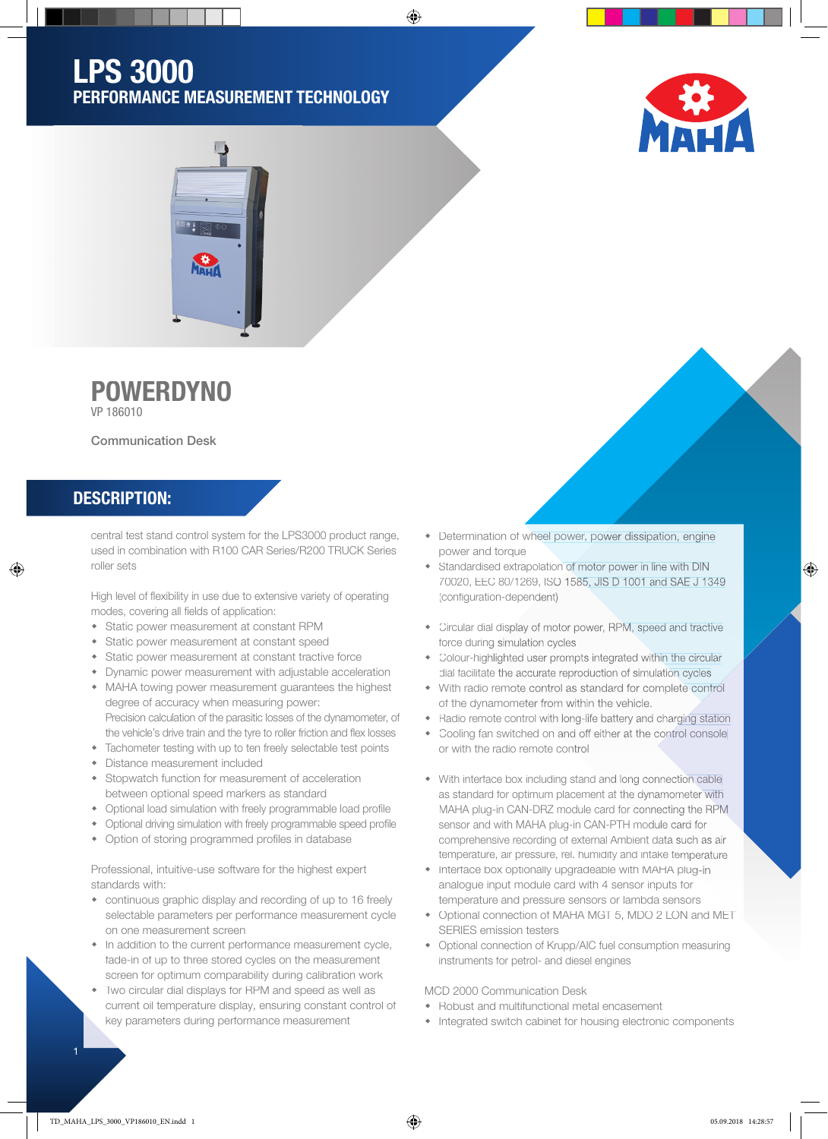## LPS 3000 PERFORMANCE MEASUREMENT TECHNOLOGY

⊕





# **POWERDYNO**

VP 186010

Communication Desk

#### DESCRIPTION:

♠

central test stand control system for the LPS3000 product range, used in combination with R100 CAR Series/R200 TRUCK Series roller sets

High level of flexibility in use due to extensive variety of operating modes, covering all fields of application:

- Static power measurement at constant RPM
- Static power measurement at constant speed
- Static power measurement at constant tractive force
- Dynamic power measurement with adjustable acceleration
- MAHA towing power measurement guarantees the highest degree of accuracy when measuring power: Precision calculation of the parasitic losses of the dynamometer, of
- the vehicle's drive train and the tyre to roller friction and flex losses
- Tachometer testing with up to ten freely selectable test points
- Distance measurement included
- Stopwatch function for measurement of acceleration between optional speed markers as standard
- Optional load simulation with freely programmable load profile
- Optional driving simulation with freely programmable speed profile
- Option of storing programmed profiles in database

Professional, intuitive-use software for the highest expert standards with:

- continuous graphic display and recording of up to 16 freely selectable parameters per performance measurement cycle on one measurement screen
- In addition to the current performance measurement cycle, fade-in of up to three stored cycles on the measurement screen for optimum comparability during calibration work
- Two circular dial displays for RPM and speed as well as current oil temperature display, ensuring constant control of key parameters during performance measurement
- Determination of wheel power, power dissipation, engine power and torque
- Standardised extrapolation of motor power in line with DIN 70020, EEC 80/1269, ISO 1585, JIS D 1001 and SAE J 1349 (configuration-dependent)
- Circular dial display of motor power, RPM, speed and tractive force during simulation cycles
- Colour-highlighted user prompts integrated within the circular dial facilitate the accurate reproduction of simulation cycles
- With radio remote control as standard for complete control of the dynamometer from within the vehicle.
- Radio remote control with long-life battery and charging station
- Cooling fan switched on and off either at the control console or with the radio remote control
- With interface box including stand and long connection cable as standard for optimum placement at the dynamometer with MAHA plug-in CAN-DRZ module card for connecting the RPM sensor and with MAHA plug-in CAN-PTH module card for comprehensive recording of external Ambient data such as air temperature, air pressure, rel. humidity and intake temperature
- Interface box optionally upgradeable with MAHA plug-in analogue input module card with 4 sensor inputs for temperature and pressure sensors or lambda sensors
- Optional connection of MAHA MGT 5, MDO 2 LON and MET SERIES emission testers
- Optional connection of Krupp/AIC fuel consumption measuring instruments for petrol- and diesel engines

MCD 2000 Communication Desk

- Robust and multifunctional metal encasement
- Integrated switch cabinet for housing electronic components

TD\_MAHA\_LPS\_3000\_VP186010\_EN.indd 1 05.09.2018 14:28:57

 $\bigcirc$